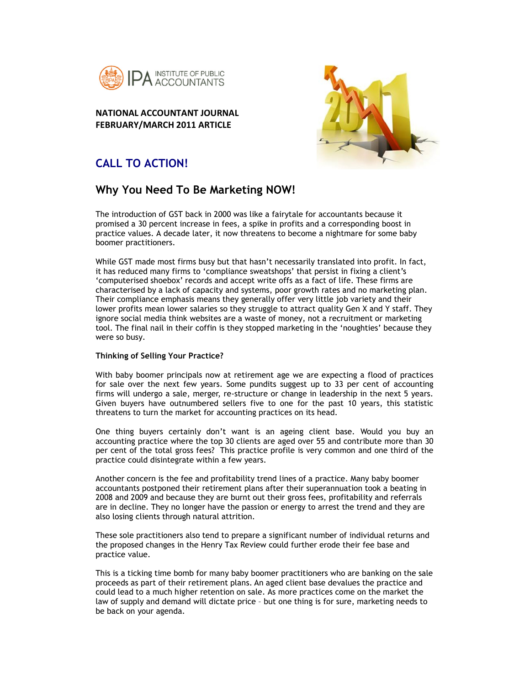

## **NATIONAL ACCOUNTANT JOURNAL FEBRUARY/MARCH 2011 ARTICLE**



# **CALL TO ACTION!**

# **Why You Need To Be Marketing NOW!**

The introduction of GST back in 2000 was like a fairytale for accountants because it promised a 30 percent increase in fees, a spike in profits and a corresponding boost in practice values. A decade later, it now threatens to become a nightmare for some baby boomer practitioners.

While GST made most firms busy but that hasn't necessarily translated into profit. In fact, it has reduced many firms to 'compliance sweatshops' that persist in fixing a client's 'computerised shoebox' records and accept write offs as a fact of life. These firms are characterised by a lack of capacity and systems, poor growth rates and no marketing plan. Their compliance emphasis means they generally offer very little job variety and their lower profits mean lower salaries so they struggle to attract quality Gen X and Y staff. They ignore social media think websites are a waste of money, not a recruitment or marketing tool. The final nail in their coffin is they stopped marketing in the 'noughties' because they were so busy.

### **Thinking of Selling Your Practice?**

With baby boomer principals now at retirement age we are expecting a flood of practices for sale over the next few years. Some pundits suggest up to 33 per cent of accounting firms will undergo a sale, merger, re-structure or change in leadership in the next 5 years. Given buyers have outnumbered sellers five to one for the past 10 years, this statistic threatens to turn the market for accounting practices on its head.

One thing buyers certainly don't want is an ageing client base. Would you buy an accounting practice where the top 30 clients are aged over 55 and contribute more than 30 per cent of the total gross fees? This practice profile is very common and one third of the practice could disintegrate within a few years.

Another concern is the fee and profitability trend lines of a practice. Many baby boomer accountants postponed their retirement plans after their superannuation took a beating in 2008 and 2009 and because they are burnt out their gross fees, profitability and referrals are in decline. They no longer have the passion or energy to arrest the trend and they are also losing clients through natural attrition.

These sole practitioners also tend to prepare a significant number of individual returns and the proposed changes in the Henry Tax Review could further erode their fee base and practice value.

This is a ticking time bomb for many baby boomer practitioners who are banking on the sale proceeds as part of their retirement plans. An aged client base devalues the practice and could lead to a much higher retention on sale. As more practices come on the market the law of supply and demand will dictate price – but one thing is for sure, marketing needs to be back on your agenda.